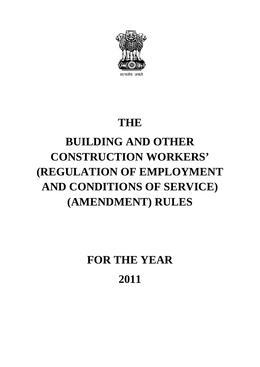

# **THE**

# **BUILDING AND OTHER CONSTRUCTION WORKERS' (REGULATION OF EMPLOYMENT AND CONDITIONS OF SERVICE) (AMENDMENT) RULES**

**FOR THE YEAR 2011**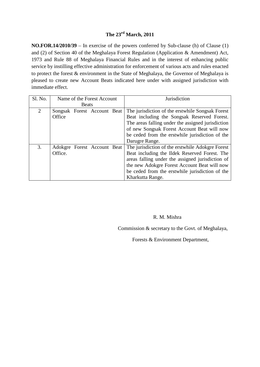## **The 23rd March, 2011**

**NO.FOR.14/2010/39** – In exercise of the powers conferred by Sub-clause (h) of Clause (1) and (2) of Section 40 of the Meghalaya Forest Regulation (Application & Amendment) Act, 1973 and Rule 88 of Meghalaya Financial Rules and in the interest of enhancing public service by instilling effective administration for enforcement of various acts and rules enacted to protect the forest & environment in the State of Meghalaya, the Governor of Meghalaya is pleased to create new Account Beats indicated here under with assigned jurisdiction with immediate effect.

| Sl. No.        | Name of the Forest Account |  | Jurisdiction                                    |                                                   |
|----------------|----------------------------|--|-------------------------------------------------|---------------------------------------------------|
|                | <b>Beats</b>               |  |                                                 |                                                   |
| $\overline{2}$ |                            |  | Songsak Forest Account Beat                     | The jurisdiction of the erstwhile Songsak Forest  |
|                | Office                     |  |                                                 | Beat including the Songsak Reserved Forest.       |
|                |                            |  |                                                 | The areas falling under the assigned jurisdiction |
|                |                            |  |                                                 | of new Songsak Forest Account Beat will now       |
|                |                            |  | be ceded from the erstwhile jurisdiction of the |                                                   |
|                |                            |  |                                                 | Darugre Range.                                    |
| 3.             |                            |  | Adokgre Forest Account Beat                     | The jurisdiction of the erstwhile Adokgre Forest  |
|                | Office.                    |  |                                                 | Beat including the Ildek Reserved Forest. The     |
|                |                            |  |                                                 | areas falling under the assigned jurisdiction of  |
|                |                            |  |                                                 | the new Adokgre Forest Account Beat will now      |
|                |                            |  |                                                 | be ceded from the erstwhile jurisdiction of the   |
|                |                            |  |                                                 | Kharkutta Range.                                  |

#### R. M. Mishra

Commission & secretary to the Govt. of Meghalaya,

Forests & Environment Department,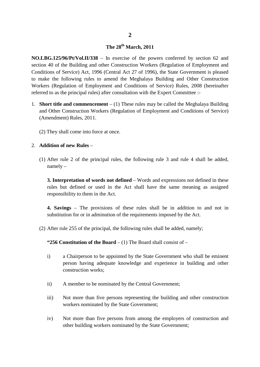#### **The 28th March, 2011**

**NO.LBG.125/96/Pt/Vol.II/338** – In exercise of the powers conferred by section 62 and section 40 of the Building and other Construction Workers (Regulation of Employment and Conditions of Service) Act, 1996 (Central Act 27 of 1996), the State Government is pleased to make the following rules to amend the Meghalaya Building and Other Construction Workers (Regulation of Employment and Conditions of Service) Rules, 2008 (hereinafter referred to as the principal rules) after consultation with the Expert Committee :-

- 1. **Short title and commencement** (1) These rules may be called the Meghalaya Building and Other Construction Workers (Regulation of Employment and Conditions of Service) (Amendment) Rules, 2011.
	- (2) They shall come into force at once.

#### 2. **Addition of new Rules** –

(1) After rule 2 of the principal rules, the following rule 3 and rule 4 shall be added, namely –

**3. Interpretation of words not defined** – Words and expressions not defined in these rules but defined or used in the Act shall have the same meaning as assigned responsibility to them in the Act.

**4. Savings** – The provisions of these rules shall be in addition to and not in substitution for or in adminution of the requirements imposed by the Act.

(2) After rule 255 of the principal, the following rules shall be added, namely;

**"256 Constitution of the Board** – (1) The Board shall consist of –

- i) a Chairperson to be appointed by the State Government who shall be eminent person having adequate knowledge and experience in building and other construction works;
- ii) A member to be nominated by the Central Government;
- iii) Not more than five persons representing the building and other construction workers nominated by the State Government;
- iv) Not more than five persons from among the employers of construction and other building workers nominated by the State Government;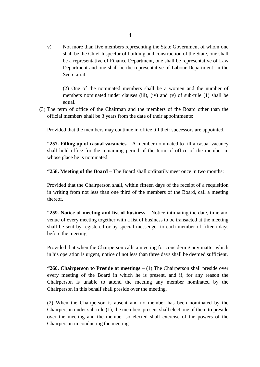v) Not more than five members representing the State Government of whom one shall be the Chief Inspector of building and construction of the State, one shall be a representative of Finance Department, one shall be representative of Law Department and one shall be the representative of Labour Department, in the Secretariat.

(2) One of the nominated members shall be a women and the number of members nominated under clauses (iii), (iv) and (v) of sub-rule (1) shall be equal.

(3) The term of office of the Chairman and the members of the Board other than the official members shall be 3 years from the date of their appointments:

Provided that the members may continue in office till their successors are appointed.

**"257. Filling up of casual vacancies** – A member nominated to fill a casual vacancy shall hold office for the remaining period of the term of office of the member in whose place he is nominated.

**"258. Meeting of the Board** – The Board shall ordinarily meet once in two months:

Provided that the Chairperson shall, within fifteen days of the receipt of a requisition in writing from not less than one third of the members of the Board, call a meeting thereof.

**"259. Notice of meeting and list of business** – Notice intimating the date, time and venue of every meeting together with a list of business to be transacted at the meeting shall be sent by registered or by special messenger to each member of fifteen days before the meeting:

Provided that when the Chairperson calls a meeting for considering any matter which in his operation is urgent, notice of not less than three days shall be deemed sufficient.

**"260. Chairperson to Preside at meetings** – (1) The Chairperson shall preside over every meeting of the Board in which he is present, and if, for any reason the Chairperson is unable to attend the meeting any member nominated by the Chairperson in this behalf shall preside over the meeting.

(2) When the Chairperson is absent and no member has been nominated by the Chairperson under sub-rule (1), the members present shall elect one of them to preside over the meeting and the member so elected shall exercise of the powers of the Chairperson in conducting the meeting.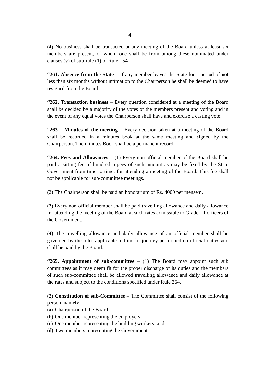(4) No business shall be transacted at any meeting of the Board unless at least six members are present, of whom one shall be from among these nominated under clauses (v) of sub-rule (1) of Rule - 54

**"261. Absence from the State** – If any member leaves the State for a period of not less than six months without intimation to the Chairperson he shall be deemed to have resigned from the Board.

**"262. Transaction business** – Every question considered at a meeting of the Board shall be decided by a majority of the votes of the members present and voting and in the event of any equal votes the Chairperson shall have and exercise a casting vote.

**"263 – Minutes of the meeting** – Every decision taken at a meeting of the Board shall be recorded in a minutes book at the same meeting and signed by the Chairperson. The minutes Book shall be a permanent record.

**"264. Fees and Allowances** – (1) Every non-official member of the Board shall be paid a sitting fee of hundred rupees of such amount as may be fixed by the State Government from time to time, for attending a meeting of the Board. This fee shall not be applicable for sub-committee meetings.

(2) The Chairperson shall be paid an honorarium of Rs. 4000 per mensem.

(3) Every non-official member shall be paid travelling allowance and daily allowance for attending the meeting of the Board at such rates admissible to Grade – I officers of the Government.

(4) The travelling allowance and daily allowance of an official member shall be governed by the rules applicable to him for journey performed on official duties and shall be paid by the Board.

**"265. Appointment of sub-committee** – (1) The Board may appoint such sub committees as it may deem fit for the proper discharge of its duties and the members of such sub-committee shall be allowed travelling allowance and daily allowance at the rates and subject to the conditions specified under Rule 264.

(2) **Constitution of sub-Committee** – The Committee shall consist of the following person, namely –

- (a) Chairperson of the Board;
- (b) One member representing the employers;
- (c) One member representing the building workers; and
- (d) Two members representing the Government.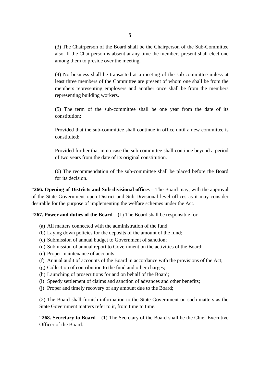(3) The Chairperson of the Board shall be the Chairperson of the Sub-Committee also. If the Chairperson is absent at any time the members present shall elect one among them to preside over the meeting.

(4) No business shall be transacted at a meeting of the sub-committee unless at least three members of the Committee are present of whom one shall be from the members representing employers and another once shall be from the members representing building workers.

(5) The term of the sub-committee shall be one year from the date of its constitution:

Provided that the sub-committee shall continue in office until a new committee is constituted:

Provided further that in no case the sub-committee shall continue beyond a period of two years from the date of its original constitution.

(6) The recommendation of the sub-committee shall be placed before the Board for its decision.

**"266. Opening of Districts and Sub-divisional offices** – The Board may, with the approval of the State Government open District and Sub-Divisional level offices as it may consider desirable for the purpose of implementing the welfare schemes under the Act.

**"267. Power and duties of the Board** – (1) The Board shall be responsible for –

- (a) All matters connected with the administration of the fund;
- (b) Laying down policies for the deposits of the amount of the fund;
- (c) Submission of annual budget to Government of sanction;
- (d) Submission of annual report to Government on the activities of the Board;
- (e) Proper maintenance of accounts;
- (f) Annual audit of accounts of the Board in accordance with the provisions of the Act;
- (g) Collection of contribution to the fund and other charges;
- (h) Launching of prosecutions for and on behalf of the Board;
- (i) Speedy settlement of claims and sanction of advances and other benefits;
- (j) Proper and timely recovery of any amount due to the Board;

(2) The Board shall furnish information to the State Government on such matters as the State Government matters refer to it, from time to time.

**"268. Secretary to Board** – (1) The Secretary of the Board shall be the Chief Executive Officer of the Board.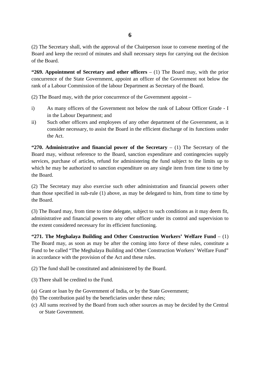(2) The Secretary shall, with the approval of the Chairperson issue to convene meeting of the Board and keep the record of minutes and shall necessary steps for carrying out the decision of the Board.

**"269. Appointment of Secretary and other officers** – (1) The Board may, with the prior concurrence of the State Government, appoint an officer of the Government not below the rank of a Labour Commission of the labour Department as Secretary of the Board.

(2) The Board may, with the prior concurrence of the Government appoint –

- i) As many officers of the Government not below the rank of Labour Officer Grade I in the Labour Department; and
- ii) Such other officers and employees of any other department of the Government, as it consider necessary, to assist the Board in the efficient discharge of its functions under the Act.

**"270. Administrative and financial power of the Secretary** – (1) The Secretary of the Board may, without reference to the Board, sanction expenditure and contingencies supply services, purchase of articles, refund for administering the fund subject to the limits up to which he may be authorized to sanction expenditure on any single item from time to time by the Board.

(2) The Secretary may also exercise such other administration and financial powers other than those specified in sub-rule (1) above, as may be delegated to him, from time to time by the Board.

(3) The Board may, from time to time delegate, subject to such conditions as it may deem fit, administrative and financial powers to any other officer under its control and supervision to the extent considered necessary for its efficient functioning.

**"271. The Meghalaya Building and Other Construction Workers' Welfare Fund** – (1) The Board may, as soon as may be after the coming into force of these rules, constitute a Fund to be called "The Meghalaya Building and Other Construction Workers' Welfare Fund" in accordance with the provision of the Act and these rules.

(2) The fund shall be constituted and administered by the Board.

(3) There shall be credited to the Fund.

- (a) Grant or loan by the Government of India, or by the State Government;
- (b) The contribution paid by the beneficiaries under these rules;
- (c) All sums received by the Board from such other sources as may be decided by the Central or State Government.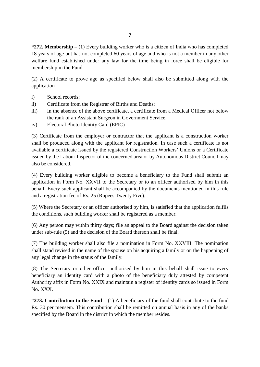**"272. Membership** – (1) Every building worker who is a citizen of India who has completed 18 years of age but has not completed 60 years of age and who is not a member in any other welfare fund established under any law for the time being in force shall be eligible for membership in the Fund.

(2) A certificate to prove age as specified below shall also be submitted along with the application –

- i) School records;
- ii) Certificate from the Registrar of Births and Deaths;
- iii) In the absence of the above certificate, a certificate from a Medical Officer not below the rank of an Assistant Surgeon in Government Service.
- iv) Electoral Photo Identity Card (EPIC)

(3) Certificate from the employer or contractor that the applicant is a construction worker shall be produced along with the applicant for registration. In case such a certificate is not available a certificate issued by the registered Construction Workers' Unions or a Certificate issued by the Labour Inspector of the concerned area or by Autonomous District Council may also be considered.

(4) Every building worker eligible to become a beneficiary to the Fund shall submit an application in Form No. XXVII to the Secretary or to an officer authorised by him in this behalf. Every such applicant shall be accompanied by the documents mentioned in this rule and a registration fee of Rs. 25 (Rupees Twenty Five).

(5) Where the Secretary or an officer authorised by him, is satisfied that the application fulfils the conditions, such building worker shall be registered as a member.

(6) Any person may within thirty days; file an appeal to the Board against the decision taken under sub-rule (5) and the decision of the Board thereon shall be final.

(7) The building worker shall also file a nomination in Form No. XXVIII. The nomination shall stand revised in the name of the spouse on his acquiring a family or on the happening of any legal change in the status of the family.

(8) The Secretary or other officer authorised by him in this behalf shall issue to every beneficiary an identity card with a photo of the beneficiary duly attested by competent Authority affix in Form No. XXIX and maintain a register of identity cards so issued in Form No. XXX.

**"273. Contribution to the Fund** – (1) A beneficiary of the fund shall contribute to the fund Rs. 30 per mensem. This contribution shall be remitted on annual basis in any of the banks specified by the Board in the district in which the member resides.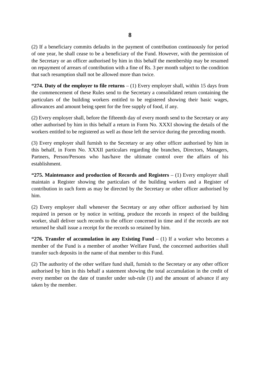(2) If a beneficiary commits defaults in the payment of contribution continuously for period of one year, he shall cease to be a beneficiary of the Fund. However, with the permission of the Secretary or an officer authorised by him in this behalf the membership may be resumed on repayment of arrears of contribution with a fine of Rs. 3 per month subject to the condition that such resumption shall not be allowed more than twice.

**"274. Duty of the employer to file returns** – (1) Every employer shall, within 15 days from the commencement of these Rules send to the Secretary a consolidated return containing the particulars of the building workers entitled to be registered showing their basic wages, allowances and amount being spent for the free supply of food, if any.

(2) Every employer shall, before the fifteenth day of every month send to the Secretary or any other authorised by him in this behalf a return in Form No. XXXI showing the details of the workers entitled to be registered as well as those left the service during the preceding month.

(3) Every employer shall furnish to the Secretary or any other officer authorised by him in this behalf, in Form No. XXXII particulars regarding the branches, Directors, Managers, Partners, Person/Persons who has/have the ultimate control over the affairs of his establishment.

**"275. Maintenance and production of Records and Registers** – (1) Every employer shall maintain a Register showing the particulars of the building workers and a Register of contribution in such form as may be directed by the Secretary or other officer authorised by him.

(2) Every employer shall whenever the Secretary or any other officer authorised by him required in person or by notice in writing, produce the records in respect of the building worker, shall deliver such records to the officer concerned in time and if the records are not returned he shall issue a receipt for the records so retained by him.

**"276. Transfer of accumulation in any Existing Fund** – (1) If a worker who becomes a member of the Fund is a member of another Welfare Fund, the concerned authorities shall transfer such deposits in the name of that member to this Fund.

(2) The authority of the other welfare fund shall, furnish to the Secretary or any other officer authorised by him in this behalf a statement showing the total accumulation in the credit of every member on the date of transfer under sub-rule (1) and the amount of advance if any taken by the member.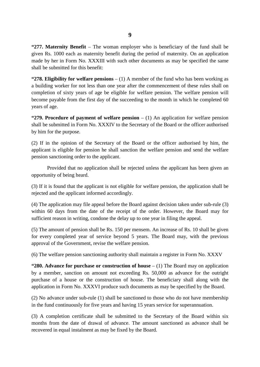**"277. Maternity Benefit** – The woman employer who is beneficiary of the fund shall be given Rs. 1000 each as maternity benefit during the period of maternity. On an application made by her in Form No. XXXIII with such other documents as may be specified the same shall be submitted for this benefit:

**"278. Eligibility for welfare pensions** – (1) A member of the fund who has been working as a building worker for not less than one year after the commencement of these rules shall on completion of sixty years of age be eligible for welfare pension. The welfare pension will become payable from the first day of the succeeding to the month in which he completed 60 years of age.

**"279. Procedure of payment of welfare pension** – (1) An application for welfare pension shall be submitted in Form No. XXXIV to the Secretary of the Board or the officer authorised by him for the purpose.

(2) If in the opinion of the Secretary of the Board or the officer authorised by him, the applicant is eligible for pension he shall sanction the welfare pension and send the welfare pension sanctioning order to the applicant.

Provided that no application shall be rejected unless the applicant has been given an opportunity of being heard.

(3) If it is found that the applicant is not eligible for welfare pension, the application shall be rejected and the applicant informed accordingly.

(4) The application may file appeal before the Board against decision taken under sub-rule (3) within 60 days from the date of the receipt of the order. However, the Board may for sufficient reason in writing, condone the delay up to one year in filing the appeal.

(5) The amount of pension shall be Rs. 150 per mensem. An increase of Rs. 10 shall be given for every completed year of service beyond 5 years. The Board may, with the previous approval of the Government, revise the welfare pension.

(6) The welfare pension sanctioning authority shall maintain a register in Form No. XXXV

**"280. Advance for purchase or construction of house** – (1) The Board may on application by a member, sanction on amount not exceeding Rs. 50,000 as advance for the outright purchase of a house or the construction of house. The beneficiary shall along with the application in Form No. XXXVI produce such documents as may be specified by the Board.

(2) No advance under sub-rule (1) shall be sanctioned to those who do not have membership in the fund continuously for five years and having 15 years service for superannuation.

(3) A completion certificate shall be submitted to the Secretary of the Board within six months from the date of drawal of advance. The amount sanctioned as advance shall be recovered in equal instalment as may be fixed by the Board.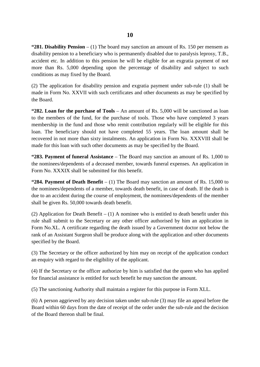**"281. Disability Pension** – (1) The board may sanction an amount of Rs. 150 per mensem as disability pension to a beneficiary who is permanently disabled due to paralysis leprosy, T.B., accident etc. In addition to this pension he will be eligible for an exgratia payment of not more than Rs. 5,000 depending upon the percentage of disability and subject to such conditions as may fixed by the Board.

(2) The application for disability pension and exgratia payment under sub-rule (1) shall be made in Form No. XXVII with such certificates and other documents as may be specified by the Board.

**"282. Loan for the purchase of Tools** – An amount of Rs. 5,000 will be sanctioned as loan to the members of the fund, for the purchase of tools. Those who have completed 3 years membership in the fund and those who remit contribution regularly will be eligible for this loan. The beneficiary should not have completed 55 years. The loan amount shall be recovered in not more than sixty instalments. An application in Form No. XXXVIII shall be made for this loan with such other documents as may be specified by the Board.

**"283. Payment of funeral Assistance** – The Board may sanction an amount of Rs. 1,000 to the nominees/dependents of a deceased member, towards funeral expenses. An application in Form No. XXXIX shall be submitted for this benefit.

**"284. Payment of Death Benefit** – (1) The Board may sanction an amount of Rs. 15,000 to the nominees/dependents of a member, towards death benefit, in case of death. If the death is due to an accident during the course of employment, the nominees/dependents of the member shall be given Rs. 50,000 towards death benefit.

(2) Application for Death Benefit – (1) A nominee who is entitled to death benefit under this rule shall submit to the Secretary or any other officer authorised by him an application in Form No.XL. A certificate regarding the death issued by a Government doctor not below the rank of an Assistant Surgeon shall be produce along with the application and other documents specified by the Board.

(3) The Secretary or the officer authorized by him may on receipt of the application conduct an enquiry with regard to the eligibility of the applicant.

(4) If the Secretary or the officer authorize by him is satisfied that the queen who has applied for financial assistance is entitled for such benefit he may sanction the amount.

(5) The sanctioning Authority shall maintain a register for this purpose in Form XLL.

(6) A person aggrieved by any decision taken under sub-rule (3) may file an appeal before the Board within 60 days from the date of receipt of the order under the sub-rule and the decision of the Board thereon shall be final.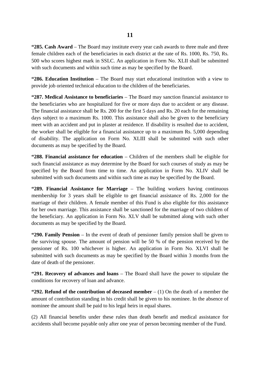**"285. Cash Award** – The Board may institute every year cash awards to three male and three female children each of the beneficiaries in each district at the rate of Rs. 1000, Rs. 750, Rs. 500 who scores highest mark in SSLC. An application in Form No. XLII shall be submitted with such documents and within such time as may be specified by the Board.

**"286. Education Institution** – The Board may start educational institution with a view to provide job oriented technical education to the children of the beneficiaries.

**"287. Medical Assistance to beneficiaries** – The Board may sanction financial assistance to the beneficiaries who are hospitalized for five or more days due to accident or any disease. The financial assistance shall be Rs. 200 for the first 5 days and Rs. 20 each for the remaining days subject to a maximum Rs. 1000. This assistance shall also be given to the beneficiary meet with an accident and put in plaster at residence. If disability is resulted due to accident, the worker shall be eligible for a financial assistance up to a maximum Rs. 5,000 depending of disability. The application on Form No. XLIII shall be submitted with such other documents as may be specified by the Board.

**"288. Financial assistance for education** – Children of the members shall be eligible for such financial assistance as may determine by the Board for such courses of study as may be specified by the Board from time to time. An application in Form No. XLIV shall be submitted with such documents and within such time as may be specified by the Board.

**"289. Financial Assistance for Marriage** – The building workers having continuous membership for 3 years shall be eligible to get financial assistance of Rs. 2,000 for the marriage of their children. A female member of this Fund is also eligible for this assistance for her own marriage. This assistance shall be sanctioned for the marriage of two children of the beneficiary. An application in Form No. XLV shall be submitted along with such other documents as may be specified by the Board.

**"290. Family Pension** – In the event of death of pensioner family pension shall be given to the surviving spouse. The amount of pension will be 50 % of the pension received by the pensioner of Rs. 100 whichever is higher. An application in Form No. XLVI shall be submitted with such documents as may be specified by the Board within 3 months from the date of death of the pensioner.

**"291. Recovery of advances and loans** – The Board shall have the power to stipulate the conditions for recovery of loan and advance.

**"292. Refund of the contribution of deceased member** – (1) On the death of a member the amount of contribution standing in his credit shall be given to his nominee. In the absence of nominee the amount shall be paid to his legal heirs in equal shares.

(2) All financial benefits under these rules than death benefit and medical assistance for accidents shall become payable only after one year of person becoming member of the Fund.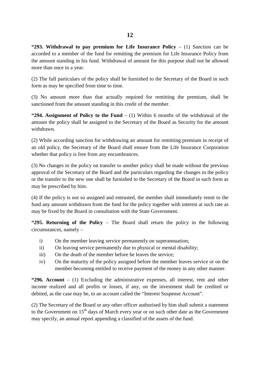(2) The full particulars of the policy shall be furnished to the Secretary of the Board in such form as may be specified from time to time.

(3) No amount more than that actually required for remitting the premium, shall be sanctioned from the amount standing in this credit of the member.

**"294. Assignment of Policy to the Fund** – (1) Within 6 months of the withdrawal of the amount the policy shall be assigned to the Secretary of the Board as Security for the amount withdrawn.

(2) While according sanction for withdrawing an amount for remitting premium in receipt of an old policy, the Secretary of the Board shall ensure from the Life Insurance Corporation whether that policy is free from any encumbrances.

(3) No changes in the policy on transfer to another policy shall be made without the previous approval of the Secretary of the Board and the particulars regarding the changes in the policy or the transfer to the new one shall be furnished to the Secretary of the Board in such form as may be prescribed by him.

(4) If the policy is not so assigned and entrusted, the member shall immediately remit to the fund any amount withdrawn from the fund for the policy together with interest at such rate as may be fixed by the Board in consultation with the State Government.

**"295. Returning of the Policy** – The Board shall return the policy in the following circumstances, namely –

- i) On the member leaving service permanently on superannuation;
- ii) On leaving service permanently due to physical or mental disability;
- iii) On the death of the member before he leaves the service;
- iv) On the maturity of the policy assigned before the member leaves service or on the member becoming entitled to receive payment of the money in any other manner.

**"296. Account** – (1) Excluding the administrative expenses, all interest, rent and other income realized and all profits or losses, if any, on the investment shall be credited or debited, as the case may be, to an account called the "Interest Suspense Account".

(2) The Secretary of the Board or any other officer authorised by him shall submit a statement to the Government on  $15<sup>th</sup>$  days of March every year or on such other date as the Government may specify, an annual report appending a classified of the assets of the fund.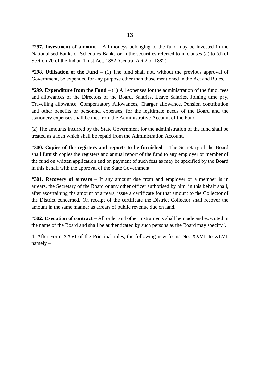**"297. Investment of amount** – All moneys belonging to the fund may be invested in the Nationalised Banks or Schedules Banks or in the securities referred to in clauses (a) to (d) of Section 20 of the Indian Trust Act, 1882 (Central Act 2 of 1882).

**"298. Utilisation of the Fund** – (1) The fund shall not, without the previous approval of Government, be expended for any purpose other than those mentioned in the Act and Rules.

**"299. Expenditure from the Fund**  $- (1)$  All expenses for the administration of the fund, fees and allowances of the Directors of the Board, Salaries, Leave Salaries, Joining time pay, Travelling allowance, Compensatory Allowances, Charger allowance. Pension contribution and other benefits or personnel expenses, for the legitimate needs of the Board and the stationery expenses shall be met from the Administrative Account of the Fund.

(2) The amounts incurred by the State Government for the administration of the fund shall be treated as a loan which shall be repaid from the Administration Account.

**"300. Copies of the registers and reports to be furnished** – The Secretary of the Board shall furnish copies the registers and annual report of the fund to any employer or member of the fund on written application and on payment of such fess as may be specified by the Board in this behalf with the approval of the State Government.

**"301. Recovery of arrears** – If any amount due from and employer or a member is in arrears, the Secretary of the Board or any other officer authorised by him, in this behalf shall, after ascertaining the amount of arrears, issue a certificate for that amount to the Collector of the District concerned. On receipt of the certificate the District Collector shall recover the amount in the same manner as arrears of public revenue due on land.

**"302. Execution of contract** – All order and other instruments shall be made and executed in the name of the Board and shall be authenticated by such persons as the Board may specify".

4. After Form XXVI of the Principal rules, the following new forms No. XXVII to XLVI, namely –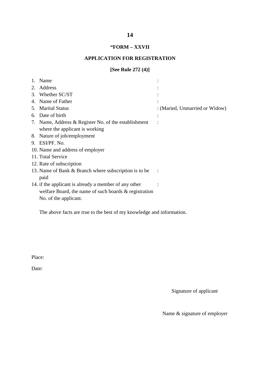## **"FORM – XXVII**

#### **APPLICATION FOR REGISTRATION**

#### **[See Rule 272 (4)]**

|    | Name                                                     |                                |
|----|----------------------------------------------------------|--------------------------------|
| 2. | Address                                                  |                                |
| 3. | Whether SC/ST                                            |                                |
| 4. | Name of Father                                           |                                |
| 5. | <b>Marital Status</b>                                    | : (Maried, Unmarried or Widow) |
| 6. | Date of birth                                            |                                |
|    | 7. Name, Address & Register No. of the establishment     |                                |
|    | where the applicant is working                           |                                |
|    | 8. Nature of job/employment                              |                                |
|    | 9. ESI/PF. No.                                           |                                |
|    | 10. Name and address of employer                         |                                |
|    | 11. Total Service                                        |                                |
|    | 12. Rate of subscription                                 |                                |
|    | 13. Name of Bank & Branch where subscription is to be    |                                |
|    | paid                                                     |                                |
|    | 14. if the applicant is already a member of any other    |                                |
|    | welfare Board, the name of such boards $\&$ registration |                                |
|    | No. of the applicant.                                    |                                |
|    |                                                          |                                |

The above facts are true to the best of my knowledge and information.

Place:

Date:

Signature of applicant

Name & signature of employer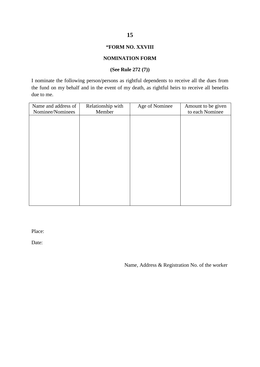#### **"FORM NO. XXVIII**

#### **NOMINATION FORM**

#### **(See Rule 272 (7))**

I nominate the following person/persons as rightful dependents to receive all the dues from the fund on my behalf and in the event of my death, as rightful heirs to receive all benefits due to me.

| Name and address of | Relationship with | Age of Nominee | Amount to be given |
|---------------------|-------------------|----------------|--------------------|
| Nominee/Nominees    | Member            |                | to each Nominee    |
|                     |                   |                |                    |
|                     |                   |                |                    |
|                     |                   |                |                    |
|                     |                   |                |                    |
|                     |                   |                |                    |
|                     |                   |                |                    |
|                     |                   |                |                    |
|                     |                   |                |                    |
|                     |                   |                |                    |
|                     |                   |                |                    |
|                     |                   |                |                    |
|                     |                   |                |                    |
|                     |                   |                |                    |
|                     |                   |                |                    |
|                     |                   |                |                    |

Place:

Date:

Name, Address & Registration No. of the worker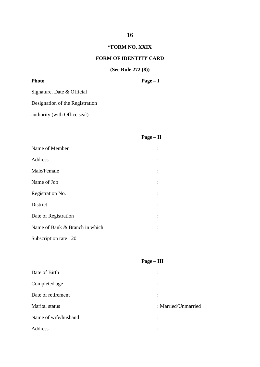#### **"FORM NO. XXIX**

#### **FORM OF IDENTITY CARD**

## **(See Rule 272 (8))**

| <b>Photo</b> | $Page - I$ |
|--------------|------------|
|              |            |

Signature, Date & Official

Designation of the Registration

authority (with Office seal)

## **Page – II**

| Name of Member                 |  |
|--------------------------------|--|
| Address                        |  |
| Male/Female                    |  |
| Name of Job                    |  |
| Registration No.               |  |
| District                       |  |
| Date of Registration           |  |
| Name of Bank & Branch in which |  |
|                                |  |

Subscription rate : 20

|                      | $Page - III$        |
|----------------------|---------------------|
| Date of Birth        |                     |
| Completed age        |                     |
| Date of retirement   |                     |
| Marital status       | : Married/Unmarried |
| Name of wife/husband | ٠                   |
| Address              | ٠                   |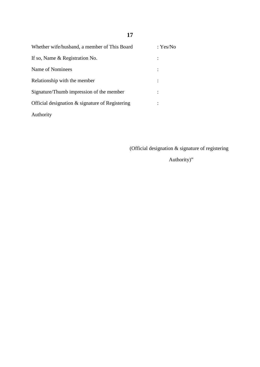| Whether wife/husband, a member of This Board    | : Yes/No |
|-------------------------------------------------|----------|
| If so, Name & Registration No.                  |          |
| Name of Nominees                                |          |
| Relationship with the member                    |          |
| Signature/Thumb impression of the member        |          |
| Official designation & signature of Registering |          |
| Authority                                       |          |

(Official designation & signature of registering

Authority)"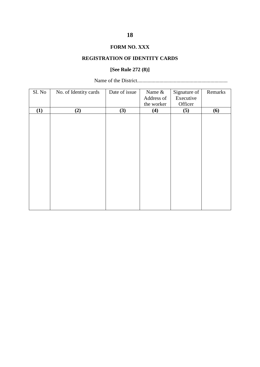#### **FORM NO. XXX**

#### **REGISTRATION OF IDENTITY CARDS**

## **[See Rule 272 (8)]**

Name of the District.....................................................................

| Sl. No | No. of Identity cards | Date of issue | Name &     | Signature of | Remarks |
|--------|-----------------------|---------------|------------|--------------|---------|
|        |                       |               | Address of | Executive    |         |
|        |                       |               | the worker | Officer      |         |
| (1)    | (2)                   | (3)           | (4)        | (5)          | (6)     |
|        |                       |               |            |              |         |
|        |                       |               |            |              |         |
|        |                       |               |            |              |         |
|        |                       |               |            |              |         |
|        |                       |               |            |              |         |
|        |                       |               |            |              |         |
|        |                       |               |            |              |         |
|        |                       |               |            |              |         |
|        |                       |               |            |              |         |
|        |                       |               |            |              |         |
|        |                       |               |            |              |         |
|        |                       |               |            |              |         |
|        |                       |               |            |              |         |
|        |                       |               |            |              |         |
|        |                       |               |            |              |         |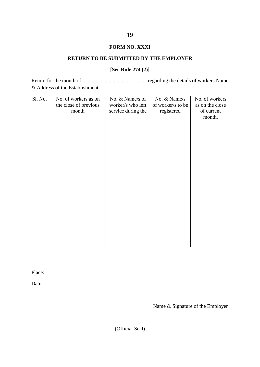#### **FORM NO. XXXI**

#### **RETURN TO BE SUBMITTED BY THE EMPLOYER**

#### **[See Rule 274 (2)]**

Return for the month of ................................................. regarding the details of workers Name & Address of the Establishment.

| Sl. No. | No. of workers as on  | No. & Name/s of    | No. & Name/s      | No. of workers  |
|---------|-----------------------|--------------------|-------------------|-----------------|
|         | the close of previous | worker/s who left  | of worker/s to be | as on the close |
|         | month                 | service during the | registered        | of current      |
|         |                       |                    |                   | month.          |
|         |                       |                    |                   |                 |
|         |                       |                    |                   |                 |
|         |                       |                    |                   |                 |
|         |                       |                    |                   |                 |
|         |                       |                    |                   |                 |
|         |                       |                    |                   |                 |
|         |                       |                    |                   |                 |
|         |                       |                    |                   |                 |
|         |                       |                    |                   |                 |
|         |                       |                    |                   |                 |
|         |                       |                    |                   |                 |
|         |                       |                    |                   |                 |
|         |                       |                    |                   |                 |
|         |                       |                    |                   |                 |
|         |                       |                    |                   |                 |
|         |                       |                    |                   |                 |
|         |                       |                    |                   |                 |
|         |                       |                    |                   |                 |
|         |                       |                    |                   |                 |
|         |                       |                    |                   |                 |

Place:

Date:

Name & Signature of the Employer

(Official Seal)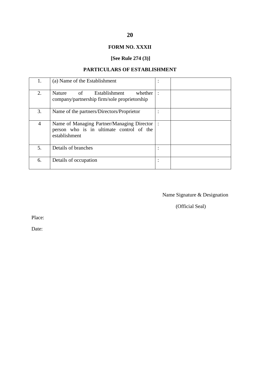## **FORM NO. XXXII**

# **[See Rule 274 (3)]**

## **PARTICULARS OF ESTABLISHMENT**

|                | (a) Name of the Establishment                                                                           |                |  |
|----------------|---------------------------------------------------------------------------------------------------------|----------------|--|
| 2.             | of<br>Establishment<br>whether<br><b>Nature</b><br>company/partnership firm/sole proprietorship         |                |  |
| 3.             | Name of the partners/Directors/Proprietor                                                               |                |  |
| $\overline{4}$ | Name of Managing Partner/Managing Director<br>person who is in ultimate control of the<br>establishment | $\mathbb{R}^2$ |  |
| 5.             | Details of branches                                                                                     |                |  |
| 6.             | Details of occupation                                                                                   |                |  |

Name Signature & Designation

(Official Seal)

Place:

Date: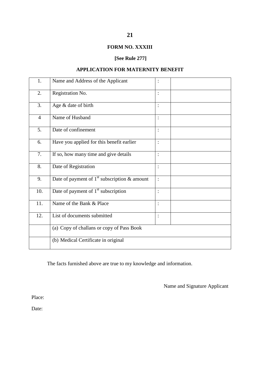## **FORM NO. XXXIII**

## **[See Rule 277]**

## **APPLICATION FOR MATERNITY BENEFIT**

| 1.             | Name and Address of the Applicant              |                |
|----------------|------------------------------------------------|----------------|
| 2.             | Registration No.                               | $\ddot{\cdot}$ |
| 3.             | Age & date of birth                            | $\vdots$       |
| $\overline{4}$ | Name of Husband                                | $\ddot{\cdot}$ |
| 5.             | Date of confinement                            | $\vdots$       |
| 6.             | Have you applied for this benefit earlier      | $\vdots$       |
| 7.             | If so, how many time and give details          | $\vdots$       |
| 8.             | Date of Registration                           | $\vdots$       |
| 9.             | Date of payment of $1st$ subscription & amount | $\cdot$        |
| 10.            | Date of payment of $1st$ subscription          | $\vdots$       |
| 11.            | Name of the Bank & Place                       | $\vdots$       |
| 12.            | List of documents submitted                    | $\vdots$       |
|                | (a) Copy of challans or copy of Pass Book      |                |
|                | (b) Medical Certificate in original            |                |

The facts furnished above are true to my knowledge and information.

Name and Signature Applicant

Place:

Date: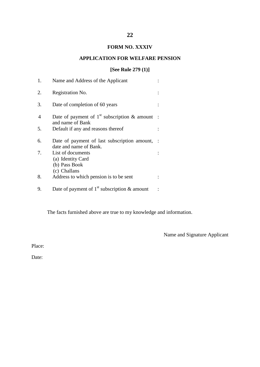## **FORM NO. XXXIV**

#### **APPLICATION FOR WELFARE PENSION**

#### **[See Rule 279 (1)]**

| 1.             | Name and Address of the Applicant                                       |  |
|----------------|-------------------------------------------------------------------------|--|
| 2.             | Registration No.                                                        |  |
| 3.             | Date of completion of 60 years                                          |  |
| $\overline{4}$ | Date of payment of $1st$ subscription & amount<br>and name of Bank      |  |
| 5.             | Default if any and reasons thereof                                      |  |
| 6.             | Date of payment of last subscription amount,<br>date and name of Bank.  |  |
| 7.             | List of documents<br>(a) Identity Card<br>(b) Pass Book<br>(c) Challans |  |
| 8.             | Address to which pension is to be sent                                  |  |
| 9.             | Date of payment of $1st$ subscription & amount                          |  |

The facts furnished above are true to my knowledge and information.

Name and Signature Applicant

Place:

Date: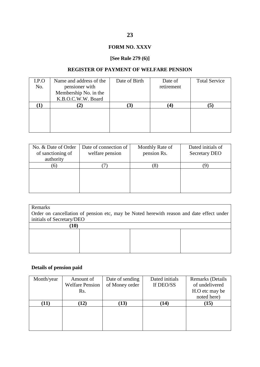## **FORM NO. XXXV**

## **[See Rule 279 (6)]**

#### **REGISTER OF PAYMENT OF WELFARE PENSION**

| I.P.O | Name and address of the | Date of Birth | Date of         | <b>Total Service</b> |
|-------|-------------------------|---------------|-----------------|----------------------|
| No.   | pensioner with          |               | retirement      |                      |
|       | Membership No. in the   |               |                 |                      |
|       | K.B.O.C.W.W. Board      |               |                 |                      |
|       |                         | $\bf{3}$      | $\vert 4 \vert$ | $\mathbf{5}$         |
|       |                         |               |                 |                      |
|       |                         |               |                 |                      |
|       |                         |               |                 |                      |
|       |                         |               |                 |                      |

| No. & Date of Order<br>of sanctioning of | Date of connection of<br>welfare pension | Monthly Rate of<br>pension Rs. | Dated initials of<br><b>Secretary DEO</b> |
|------------------------------------------|------------------------------------------|--------------------------------|-------------------------------------------|
| authority                                |                                          |                                |                                           |
| $\sigma$                                 |                                          | Ō                              |                                           |
|                                          |                                          |                                |                                           |
|                                          |                                          |                                |                                           |
|                                          |                                          |                                |                                           |
|                                          |                                          |                                |                                           |

#### Remarks

Order on cancellation of pension etc, may be Noted herewith reason and date effect under initials of Secretary/DEO

| (10) |  |  |
|------|--|--|
|      |  |  |
|      |  |  |
|      |  |  |
|      |  |  |

## **Details of pension paid**

| Month/year | Amount of              | Date of sending | Dated initials | <b>Remarks</b> (Details |
|------------|------------------------|-----------------|----------------|-------------------------|
|            | <b>Welfare Pension</b> | of Money order  | If DEO/SS      | of undelivered          |
|            | Rs.                    |                 |                | H.O etc may be          |
|            |                        |                 |                | noted here)             |
| (11)       | (12)                   | (13)            | (14)           | (15)                    |
|            |                        |                 |                |                         |
|            |                        |                 |                |                         |
|            |                        |                 |                |                         |
|            |                        |                 |                |                         |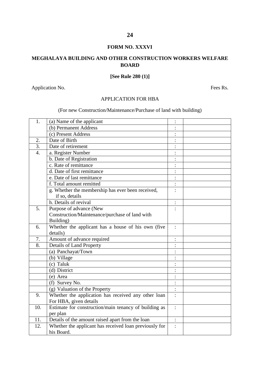#### **FORM NO. XXXVI**

#### **MEGHALAYA BUILDING AND OTHER CONSTRUCTION WORKERS WELFARE BOARD**

#### **[See Rule 280 (1)]**

Application No. Fees Rs.

#### APPLICATION FOR HBA

## (For new Construction/Maintenance/Purchase of land with building)

| 1.               | (a) Name of the applicant                              |                |  |
|------------------|--------------------------------------------------------|----------------|--|
|                  | (b) Permanent Address                                  |                |  |
|                  | (c) Present Address                                    |                |  |
| 2.               | Date of Birth                                          |                |  |
| $\overline{3}$ . | Date of retirement                                     |                |  |
| $\overline{4}$ . | a. Register Number                                     |                |  |
|                  | b. Date of Registration                                |                |  |
|                  | c. Rate of remittance                                  |                |  |
|                  | d. Date of first remittance                            |                |  |
|                  | e. Date of last remittance                             |                |  |
|                  | f. Total amount remitted                               |                |  |
|                  | g. Whether the membership has ever been received,      |                |  |
|                  | if so, details                                         |                |  |
|                  | h. Details of revival                                  |                |  |
| 5.               | Purpose of advance (New                                |                |  |
|                  | Construction/Maintenance/purchase of land with         |                |  |
|                  | Building)                                              |                |  |
| 6.               | Whether the applicant has a house of his own (five     | $\ddot{\cdot}$ |  |
|                  | details)                                               |                |  |
| 7.               | Amount of advance required                             |                |  |
| 8.               | Details of Land Property                               |                |  |
|                  | (a) Panchayat/Town                                     |                |  |
|                  | (b) Village                                            |                |  |
|                  | (c) Taluk                                              |                |  |
|                  | (d) District                                           |                |  |
|                  | (e) Area                                               |                |  |
|                  | (f) Survey No.                                         |                |  |
|                  | (g) Valuation of the Property                          | $\ddot{\cdot}$ |  |
| 9.               | Whether the application has received any other loan    |                |  |
|                  | For HBA, given details                                 |                |  |
| 10.              | Estimate for construction/main tenancy of building as  | $\ddot{\cdot}$ |  |
|                  | per plan                                               |                |  |
| 11.              | Details of the amount raised apart from the loan       | $\vdots$       |  |
| 12.              | Whether the applicant has received loan previously for |                |  |
|                  | his Board.                                             |                |  |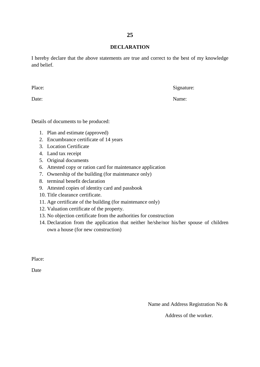#### **DECLARATION**

I hereby declare that the above statements are true and correct to the best of my knowledge and belief.

Place: Signature:

Date: Name:

Details of documents to be produced:

- 1. Plan and estimate (approved)
- 2. Encumbrance certificate of 14 years
- 3. Location Certificate
- 4. Land tax receipt
- 5. Original documents
- 6. Attested copy or ration card for maintenance application
- 7. Ownership of the building (for maintenance only)
- 8. terminal benefit declaration
- 9. Attested copies of identity card and passbook
- 10. Title clearance certificate.
- 11. Age certificate of the building (for maintenance only)
- 12. Valuation certificate of the property.
- 13. No objection certificate from the authorities for construction
- 14. Declaration from the application that neither he/she/nor his/her spouse of children own a house (for new construction)

Place:

Date

Name and Address Registration No &

Address of the worker.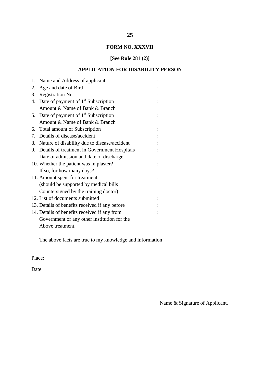## **FORM NO. XXXVII**

## **[See Rule 281 (2)]**

## **APPLICATION FOR DISABILITY PERSON**

| 1. | Name and Address of applicant                   |  |
|----|-------------------------------------------------|--|
| 2. | Age and date of Birth                           |  |
| 3. | Registration No.                                |  |
| 4. | Date of payment of $1st$ Subscription           |  |
|    | Amount & Name of Bank & Branch                  |  |
| 5. | Date of payment of 1 <sup>st</sup> Subscription |  |
|    | Amount & Name of Bank & Branch                  |  |
|    | 6. Total amount of Subscription                 |  |
| 7. | Details of disease/accident                     |  |
| 8. | Nature of disability due to disease/accident    |  |
|    | 9. Details of treatment in Government Hospitals |  |
|    | Date of admission and date of discharge         |  |
|    | 10. Whether the patient was in plaster?         |  |
|    | If so, for how many days?                       |  |
|    | 11. Amount spent for treatment                  |  |
|    | (should be supported by medical bills           |  |
|    | Countersigned by the training doctor)           |  |
|    | 12. List of documents submitted                 |  |
|    | 13. Details of benefits received if any before  |  |
|    | 14. Details of benefits received if any from    |  |
|    | Government or any other institution for the     |  |
|    | Above treatment.                                |  |

The above facts are true to my knowledge and information

Place:

Date

Name & Signature of Applicant.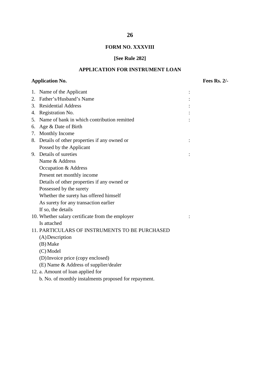## **FORM NO. XXXVIII**

## **[See Rule 282]**

## **APPLICATION FOR INSTRUMENT LOAN**

## **Application No. Fees Rs. 2/-**

| 1.          | Name of the Applicant                            |  |
|-------------|--------------------------------------------------|--|
| $2_{\cdot}$ | Father's/Husband's Name                          |  |
|             | 3. Residential Address                           |  |
| 4.          | Registration No.                                 |  |
| 5.          | Name of bank in which contribution remitted      |  |
| 6.          | Age & Date of Birth                              |  |
| 7.          | Monthly Income                                   |  |
| 8.          | Details of other properties if any owned or      |  |
|             | Possed by the Applicant                          |  |
|             | 9. Details of sureties                           |  |
|             | Name & Address                                   |  |
|             | Occupation & Address                             |  |
|             | Present net monthly income                       |  |
|             | Details of other properties if any owned or      |  |
|             | Possessed by the surety                          |  |
|             | Whether the surety has offered himself           |  |
|             | As surety for any transaction earlier            |  |
|             | If so, the details                               |  |
|             | 10. Whether salary certificate from the employer |  |
|             | Is attached                                      |  |
|             | 11. PARTICULARS OF INSTRUMENTS TO BE PURCHASED   |  |
|             | $(A)$ Description                                |  |
|             | (B) Make                                         |  |
|             | (C) Model                                        |  |
|             | (D) Invoice price (copy enclosed)                |  |
|             | (E) Name & Address of supplier/dealer            |  |
|             | 12. a. Amount of loan applied for                |  |

b. No. of monthly instalments proposed for repayment.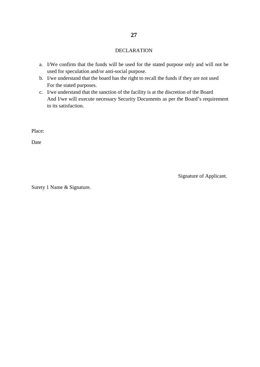#### DECLARATION

- a. I/We confirm that the funds will be used for the stated purpose only and will not be used for speculation and/or anti-social purpose.
- b. I/we understand that the board has the right to recall the funds if they are not used For the stated purposes.
- c. I/we understand that the sanction of the facility is at the discretion of the Board And I/we will execute necessary Security Documents as per the Board's requirement to its satisfaction.

Place:

Date

Signature of Applicant.

Surety 1 Name & Signature.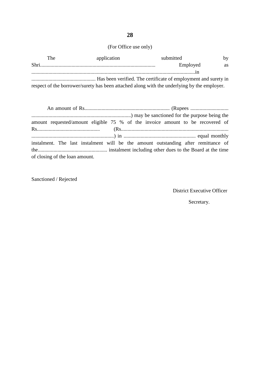# (For Office use only)

| The | application                                                                                 | submitted | by        |
|-----|---------------------------------------------------------------------------------------------|-----------|-----------|
|     |                                                                                             | Employed  | <b>as</b> |
|     |                                                                                             |           |           |
|     |                                                                                             |           |           |
|     | respect of the borrower/surety has been attached along with the underlying by the employer. |           |           |

|                                | amount requested/amount eligible 75 % of the invoice amount to be recovered of     |
|--------------------------------|------------------------------------------------------------------------------------|
|                                |                                                                                    |
|                                | instalment. The last instalment will be the amount outstanding after remittance of |
| of closing of the loan amount. |                                                                                    |

Sanctioned / Rejected

District Executive Officer

Secretary.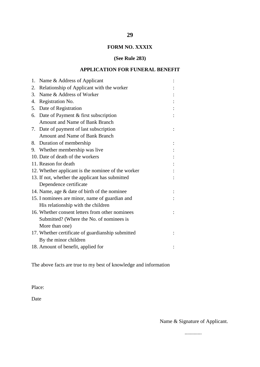## **FORM NO. XXXIX**

**29**

#### **(See Rule 283)**

## **APPLICATION FOR FUNERAL BENEFIT**

|    | 1. Name & Address of Applicant                     |  |
|----|----------------------------------------------------|--|
| 2. | Relationship of Applicant with the worker          |  |
| 3. | Name & Address of Worker                           |  |
| 4. | Registration No.                                   |  |
| 5. | Date of Registration                               |  |
|    | 6. Date of Payment & first subscription            |  |
|    | Amount and Name of Bank Branch                     |  |
|    | 7. Date of payment of last subscription            |  |
|    | Amount and Name of Bank Branch                     |  |
|    | 8. Duration of membership                          |  |
|    | 9. Whether membership was live                     |  |
|    | 10. Date of death of the workers                   |  |
|    | 11. Reason for death                               |  |
|    | 12. Whether applicant is the nominee of the worker |  |
|    | 13. If not, whether the applicant has submitted    |  |
|    | Dependence certificate                             |  |
|    | 14. Name, age & date of birth of the nominee       |  |
|    | 15. I nominees are minor, name of guardian and     |  |
|    | His relationship with the children                 |  |
|    | 16. Whether consent letters from other nominees    |  |
|    | Submitted? (Where the No. of nominees is           |  |
|    | More than one)                                     |  |
|    | 17. Whether certificate of guardianship submitted  |  |
|    | By the minor children                              |  |
|    | 18. Amount of benefit, applied for                 |  |

The above facts are true to my best of knowledge and information

Place:

Date

Name & Signature of Applicant.

.............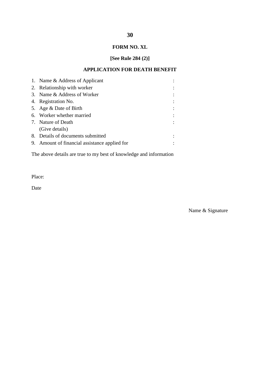## **FORM NO. XL**

## **[See Rule 284 (2)]**

## **APPLICATION FOR DEATH BENEFIT**

| 1. Name & Address of Applicant                |  |
|-----------------------------------------------|--|
| 2. Relationship with worker                   |  |
| 3. Name & Address of Worker                   |  |
| 4. Registration No.                           |  |
| 5. Age & Date of Birth                        |  |
| 6. Worker whether married                     |  |
| 7. Nature of Death                            |  |
| (Give details)                                |  |
| 8. Details of documents submitted             |  |
| 9. Amount of financial assistance applied for |  |

The above details are true to my best of knowledge and information

Place:

Date

Name & Signature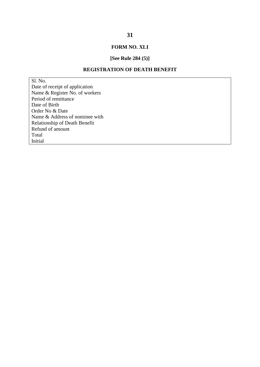## **FORM NO. XLI**

#### **[See Rule 284 (5)]**

#### **REGISTRATION OF DEATH BENEFIT**

Sl. No. Date of receipt of application Name & Register No. of workers Period of remittance Date of Birth Order No & Date Name & Address of nominee with Relationship of Death Benefit Refund of amount Total Initial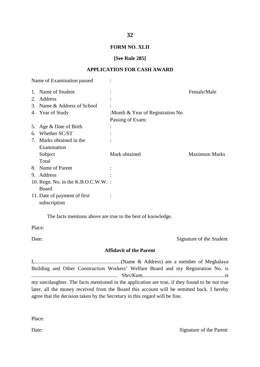#### **32**

#### **FORM NO. XLII**

#### **[See Rule 285]**

#### **APPLICATION FOR CASH AWARD**

|    | Name of Examination passed                   |                                  |                      |
|----|----------------------------------------------|----------------------------------|----------------------|
|    | 1. Name of Student                           |                                  | Female/Male          |
|    | 2. Address                                   |                                  |                      |
|    | 3. Name & Address of School                  |                                  |                      |
|    | 4. Year of Study                             | :Month & Year of Registration No |                      |
|    |                                              | Passing of Exam:                 |                      |
|    | 5. Age & Date of Birth                       |                                  |                      |
| 6. | Whether SC/ST                                |                                  |                      |
| 7. | Marks obtained in the                        |                                  |                      |
|    | Examination                                  |                                  |                      |
|    | Subject                                      | Mark obtained                    | <b>Maximum Marks</b> |
|    | Total                                        |                                  |                      |
| 8. | Name of Parent                               |                                  |                      |
| 9. | Address                                      |                                  |                      |
|    | 10. Regn. No. in the $K.B.O.C.W.W.$ :        |                                  |                      |
|    | Board                                        |                                  |                      |
|    | 11. Date of payment of first<br>subscription |                                  |                      |

The facts mentions above are true to the best of knowledge.

Place:

Date: Signature of the Student

#### **Affidavit of the Parent**

I,..................................................................(Name & Address) am a member of Meghalaya Building and Other Construction Workers' Welfare Board and my Registration No. is .................................................................. Shri/Kum...............................................................is my son/daughter. The facts mentioned in the application are true, if they found to be not true later, all the money received from the Board this account will be remitted back. I hereby agree that the decision taken by the Secretary in this regard will be fine.

Place:

Date: Signature of the Parent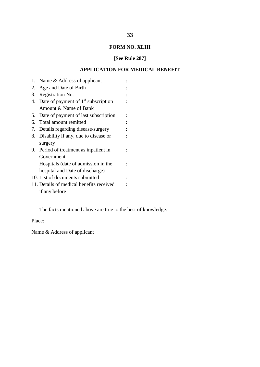## **FORM NO. XLIII**

## **[See Rule 287]**

## **APPLICATION FOR MEDICAL BENEFIT**

| 1. | Name & Address of applicant              |  |
|----|------------------------------------------|--|
|    | 2. Age and Date of Birth                 |  |
|    | 3. Registration No.                      |  |
|    | 4. Date of payment of $1st$ subscription |  |
|    | Amount & Name of Bank                    |  |
| 5. | Date of payment of last subscription     |  |
|    | 6. Total amount remitted                 |  |
|    | 7. Details regarding disease/surgery     |  |
| 8. | Disability if any, due to disease or     |  |
|    | surgery                                  |  |
|    | 9. Period of treatment as inpatient in   |  |
|    | Government                               |  |
|    | Hospitals (date of admission in the      |  |
|    | hospital and Date of discharge)          |  |
|    | 10. List of documents submitted          |  |
|    | 11. Details of medical benefits received |  |
|    | if any before                            |  |

The facts mentioned above are true to the best of knowledge.

Place:

Name & Address of applicant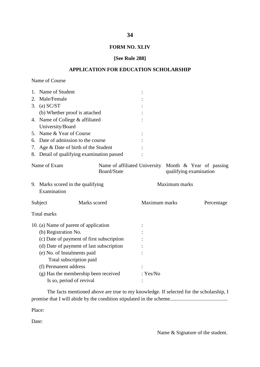#### **FORM NO. XLIV**

#### **[See Rule 288]**

#### **APPLICATION FOR EDUCATION SCHOLARSHIP**

| Name of Course |  |
|----------------|--|
|----------------|--|

|                      | 1. Name of Student                               |             |               |               |                                                                                 |
|----------------------|--------------------------------------------------|-------------|---------------|---------------|---------------------------------------------------------------------------------|
| 2.                   | Male/Female                                      |             |               |               |                                                                                 |
|                      | 3. (a) $SC/ST$                                   |             |               |               |                                                                                 |
|                      | (b) Whether proof is attached                    |             |               |               |                                                                                 |
|                      | 4. Name of College & affiliated                  |             |               |               |                                                                                 |
|                      | University/Board                                 |             |               |               |                                                                                 |
|                      | 5. Name & Year of Course                         |             |               |               |                                                                                 |
|                      | 6. Date of admission to the course               |             |               |               |                                                                                 |
| 7.                   | Age & Date of birth of the Student               |             |               |               |                                                                                 |
|                      | 8. Detail of qualifying examination passed       |             |               |               |                                                                                 |
|                      | Name of Exam                                     | Board/State |               |               | Name of affiliated University Month & Year of passing<br>qualifying examination |
|                      | 9. Marks scored in the qualifying<br>Examination |             |               | Maximum marks |                                                                                 |
|                      | Marks scored<br>Subject                          |             | Maximum marks |               | Percentage                                                                      |
|                      | <b>Total marks</b>                               |             |               |               |                                                                                 |
|                      | 10. (a) Name of parent of application            |             |               |               |                                                                                 |
| (b) Registration No. |                                                  |             |               |               |                                                                                 |
|                      | (c) Date of payment of first subscription        |             |               |               |                                                                                 |
|                      | (d) Date of payment of last subscription         |             |               |               |                                                                                 |
|                      | (e) No. of Instalments paid                      |             |               |               |                                                                                 |
|                      | Total subscription paid                          |             |               |               |                                                                                 |
|                      | (f) Permanent address                            |             |               |               |                                                                                 |
|                      | (g) Has the membership been received             |             | : Yes/No      |               |                                                                                 |
|                      | Is so, period of revival                         |             |               |               |                                                                                 |

The facts mentioned above are true to my knowledge. If selected for the scholarship, I promise that I will abide by the condition stipulated in the scheme............................................

Place:

Date:

Name & Signature of the student.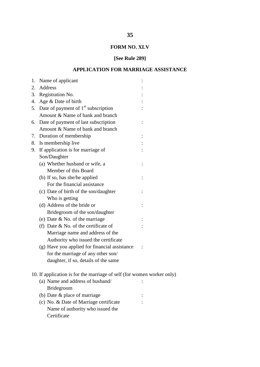## **FORM NO. XLV**

# **[See Rule 289]**

## **APPLICATION FOR MARRIAGE ASSISTANCE**

| 1. | Name of applicant                                                      |  |  |
|----|------------------------------------------------------------------------|--|--|
| 2. | Address                                                                |  |  |
| 3. | Registration No.                                                       |  |  |
|    | 4. Age & Date of birth                                                 |  |  |
|    | 5. Date of payment of $1st$ subscription                               |  |  |
|    | Amount & Name of bank and branch                                       |  |  |
| 6. | Date of payment of last subscription                                   |  |  |
|    | Amount & Name of bank and branch                                       |  |  |
|    | 7. Duration of membership                                              |  |  |
|    | 8. Is membership live                                                  |  |  |
|    | 9. If application is for marriage of                                   |  |  |
|    | Son/Daughter                                                           |  |  |
|    | (a) Whether husband or wife, a                                         |  |  |
|    | Member of this Board                                                   |  |  |
|    | (b) If so, has she/he applied                                          |  |  |
|    | For the financial assistance                                           |  |  |
|    | (c) Date of birth of the son/daughter                                  |  |  |
|    | Who is getting                                                         |  |  |
|    | (d) Address of the bride or                                            |  |  |
|    | Bridegroom of the son/daughter                                         |  |  |
|    | (e) Date & No. of the marriage                                         |  |  |
|    | (f) Date $&$ No. of the certificate of                                 |  |  |
|    | Marriage name and address of the                                       |  |  |
|    | Authority who issued the certificate                                   |  |  |
|    | (g) Have you applied for financial assistance                          |  |  |
|    | for the marriage of any other son/                                     |  |  |
|    | daughter, if so, details of the same                                   |  |  |
|    |                                                                        |  |  |
|    | 10. If application is for the marriage of self (for women worker only) |  |  |
|    | (a) Name and address of husband/                                       |  |  |
|    | <b>Bridegroom</b>                                                      |  |  |
|    | (b) Date & place of marriage                                           |  |  |
|    | (c) No. & Date of Marriage certificate                                 |  |  |
|    | Name of authority who issued the                                       |  |  |
|    | Certificate                                                            |  |  |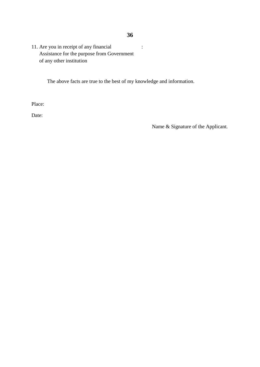## **36**

11. Are you in receipt of any financial : Assistance for the purpose from Government of any other institution

The above facts are true to the best of my knowledge and information.

Place:

Date:

Name & Signature of the Applicant.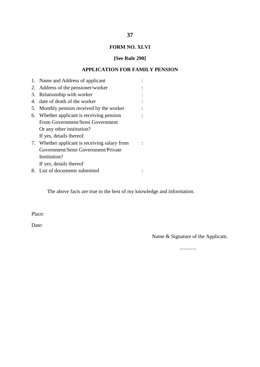# **37**

## **FORM NO. XLVI**

## **[See Rule 290]**

## **APPLICATION FOR FAMILY PENSION**

|    | 1. Name and Address of applicant           |  |
|----|--------------------------------------------|--|
| 2. | Address of the pensioner/worker            |  |
|    | 3. Relationship with worker                |  |
| 4. | date of death of the worker                |  |
| 5. | Monthly pension received by the worker     |  |
| 6. | Whether applicant is receiving pension     |  |
|    | From Government/Semi Government            |  |
|    | Or any other institution?                  |  |
|    | If yes, details thereof.                   |  |
| 7. | Whether applicant is receiving salary from |  |
|    | Government/Semi Government/Private         |  |
|    | Institution?                               |  |
|    | If yes, details thereof                    |  |
|    | 8. List of documents submitted             |  |

The above facts are true to the best of my knowledge and information.

Place:

Date:

Name & Signature of the Applicant.

.............